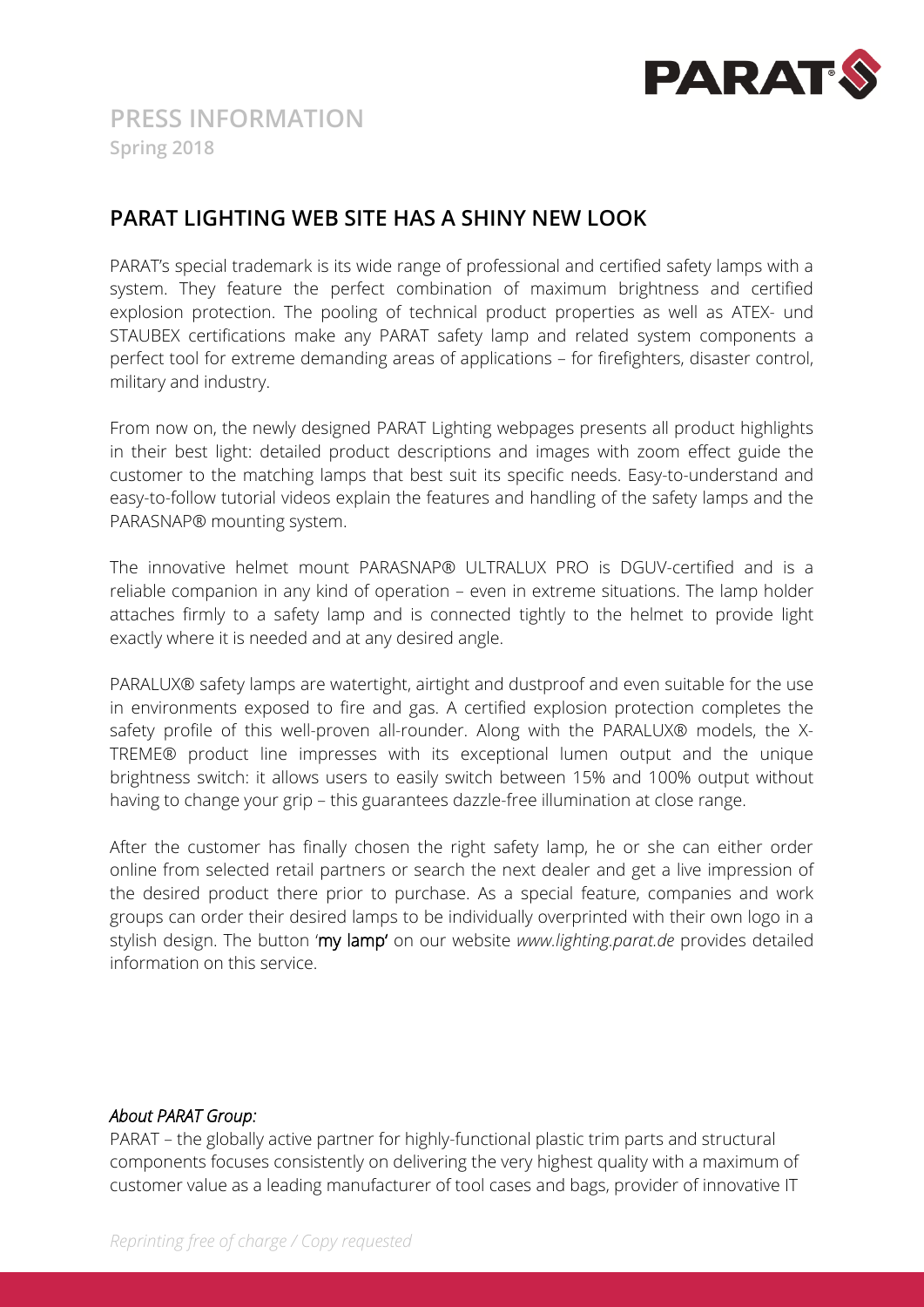

## **PARAT LIGHTING WEB SITE HAS A SHINY NEW LOOK**

PARAT's special trademark is its wide range of professional and certified safety lamps with a system. They feature the perfect combination of maximum brightness and certified explosion protection. The pooling of technical product properties as well as ATEX- und STAUBEX certifications make any PARAT safety lamp and related system components a perfect tool for extreme demanding areas of applications – for firefighters, disaster control, military and industry.

From now on, the newly designed PARAT Lighting webpages presents all product highlights in their best light: detailed product descriptions and images with zoom effect guide the customer to the matching lamps that best suit its specific needs. Easy-to-understand and easy-to-follow tutorial videos explain the features and handling of the safety lamps and the PARASNAP® mounting system.

The innovative helmet mount PARASNAP® ULTRALUX PRO is DGUV-certified and is a reliable companion in any kind of operation – even in extreme situations. The lamp holder attaches firmly to a safety lamp and is connected tightly to the helmet to provide light exactly where it is needed and at any desired angle.

PARALUX® safety lamps are watertight, airtight and dustproof and even suitable for the use in environments exposed to fire and gas. A certified explosion protection completes the safety profile of this well-proven all-rounder. Along with the PARALUX® models, the X-TREME® product line impresses with its exceptional lumen output and the unique brightness switch: it allows users to easily switch between 15% and 100% output without having to change your grip – this guarantees dazzle-free illumination at close range.

After the customer has finally chosen the right safety lamp, he or she can either order online from selected retail partners or search the next dealer and get a live impression of the desired product there prior to purchase. As a special feature, companies and work groups can order their desired lamps to be individually overprinted with their own logo in a stylish design. The button 'my lamp' on our website *www.lighting.parat.de* provides detailed information on this service.

#### *About PARAT Group:*

PARAT – the globally active partner for highly-functional plastic trim parts and structural components focuses consistently on delivering the very highest quality with a maximum of customer value as a leading manufacturer of tool cases and bags, provider of innovative IT